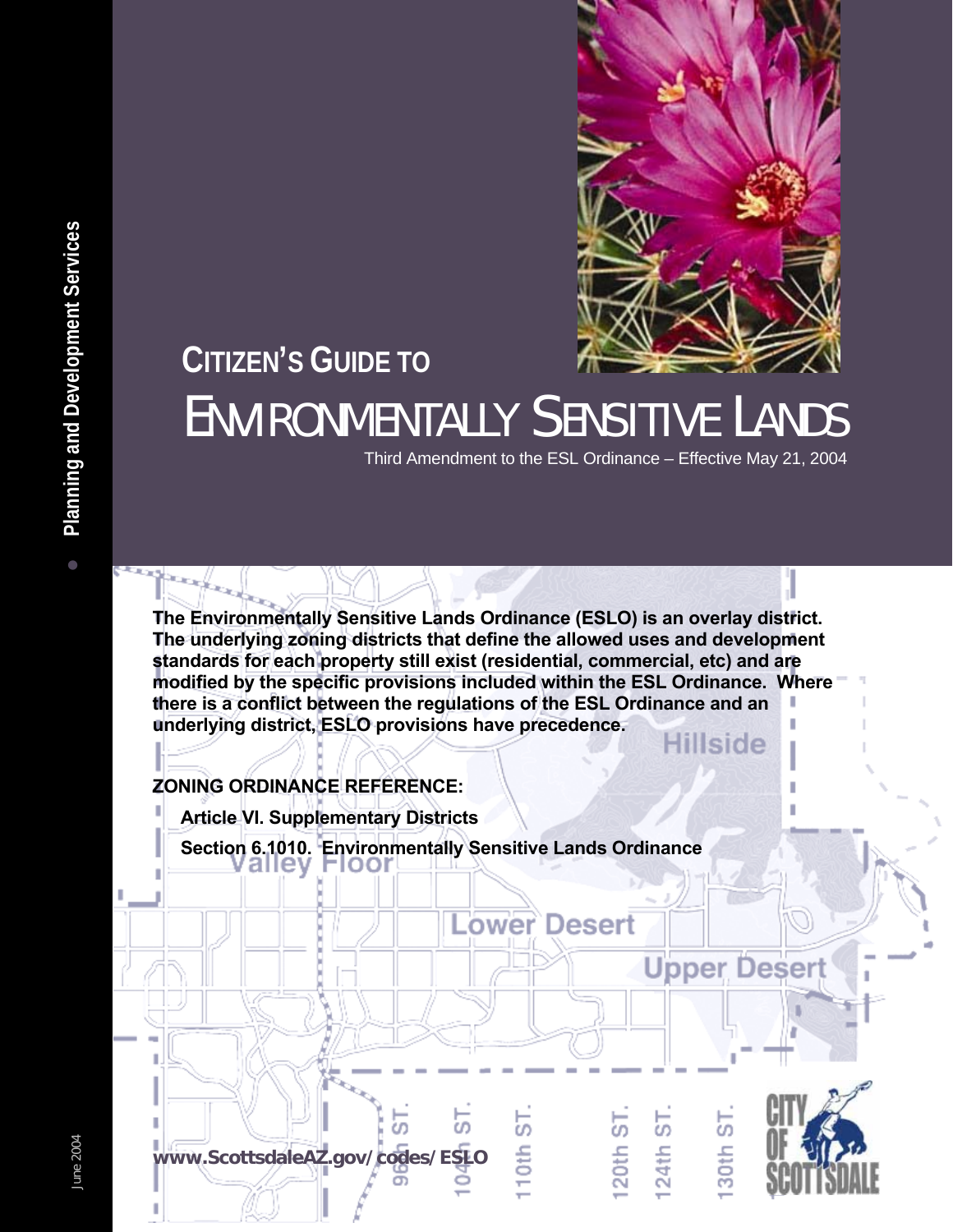

**Upper Desert** 

Soth<sub>S</sub>

24th ST

20th ST

## **CITIZEN'S GUIDE TO**

# ENVIRONMENTALLY SENSITIVE LANDS

Third Amendment to the ESL Ordinance – Effective May 21, 2004

**The Environmentally Sensitive Lands Ordinance (ESLO) is an overlay district. The underlying zoning districts that define the allowed uses and development standards for each property still exist (residential, commercial, etc) and are modified by the specific provisions included within the ESL Ordinance. Where there is a conflict between the regulations of the ESL Ordinance and an underlying district, ESLO provisions have precedence. lillside** 

ower Desert

5

 $\frac{1}{2}$ 

**ZONING ORDINANCE REFERENCE:** 

**Article VI. Supplementary Districts** 

**[www.ScottsdaleAZ.gov/codes/ESLO](http://www.scottsdaleaz.gov/codes/ESLO/)** 

ċο

**Section 6.1010. Environmentally Sensitive Lands Ordinance** 

June 2004

June 2004

**● Planning and Development Services** 

**Planning and Development Services**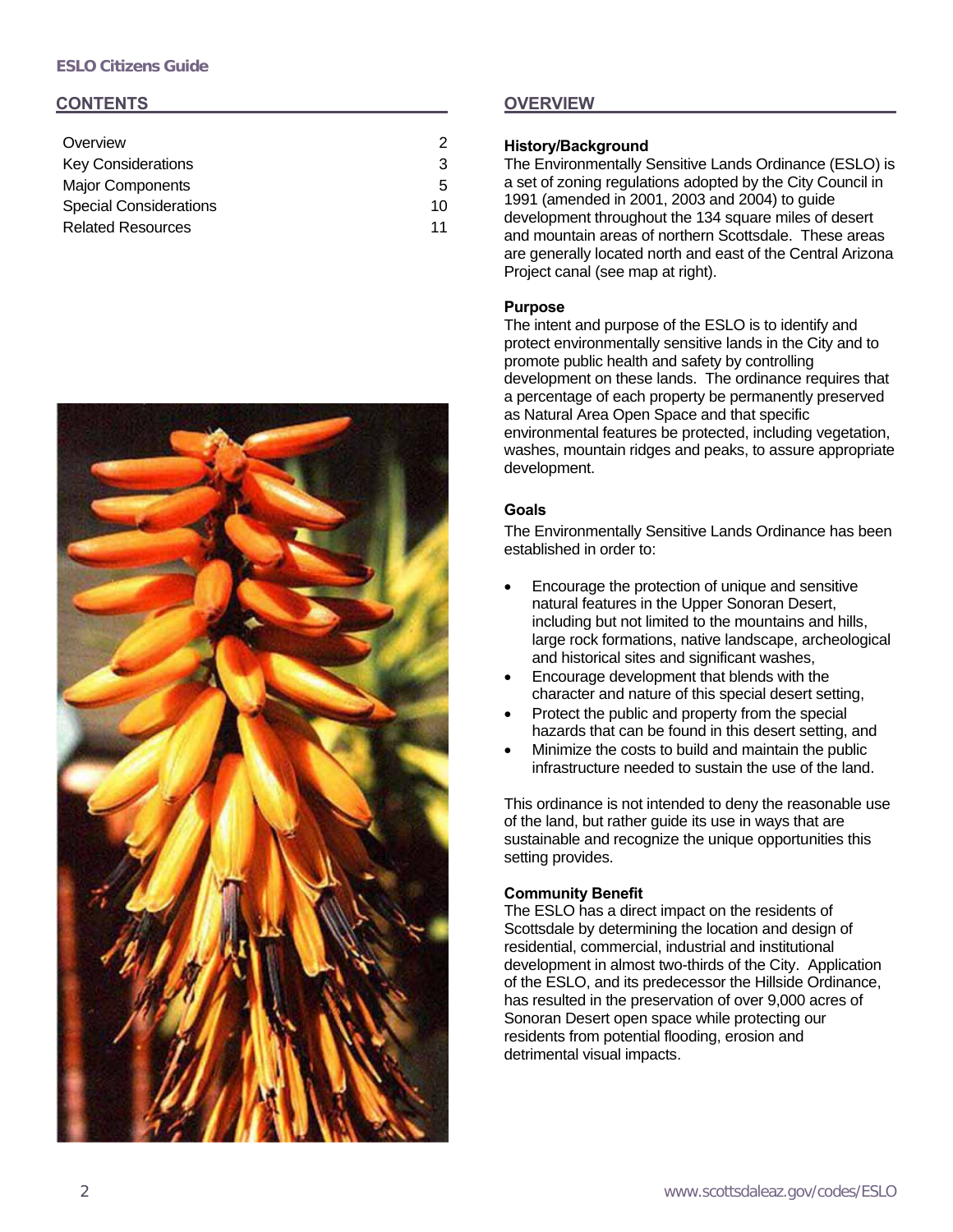#### **ESLO Citizens Guide**

#### **CONTENTS**

| 2  |
|----|
| З  |
| 5  |
| 10 |
| 11 |
|    |



#### **OVERVIEW**

#### **History/Background**

The Environmentally Sensitive Lands Ordinance (ESLO) is a set of zoning regulations adopted by the City Council in 1991 (amended in 2001, 2003 and 2004) to guide development throughout the 134 square miles of desert and mountain areas of northern Scottsdale. These areas are generally located north and east of the Central Arizona Project canal (see map at right).

#### **Purpose**

The intent and purpose of the ESLO is to identify and protect environmentally sensitive lands in the City and to promote public health and safety by controlling development on these lands. The ordinance requires that a percentage of each property be permanently preserved as Natural Area Open Space and that specific environmental features be protected, including vegetation, washes, mountain ridges and peaks, to assure appropriate development.

#### **Goals**

The Environmentally Sensitive Lands Ordinance has been established in order to:

- Encourage the protection of unique and sensitive natural features in the Upper Sonoran Desert, including but not limited to the mountains and hills, large rock formations, native landscape, archeological and historical sites and significant washes,
- Encourage development that blends with the character and nature of this special desert setting,
- Protect the public and property from the special hazards that can be found in this desert setting, and
- Minimize the costs to build and maintain the public infrastructure needed to sustain the use of the land.

This ordinance is not intended to deny the reasonable use of the land, but rather guide its use in ways that are sustainable and recognize the unique opportunities this setting provides.

#### **Community Benefit**

The ESLO has a direct impact on the residents of Scottsdale by determining the location and design of residential, commercial, industrial and institutional development in almost two-thirds of the City. Application of the ESLO, and its predecessor the Hillside Ordinance, has resulted in the preservation of over 9,000 acres of Sonoran Desert open space while protecting our residents from potential flooding, erosion and detrimental visual impacts.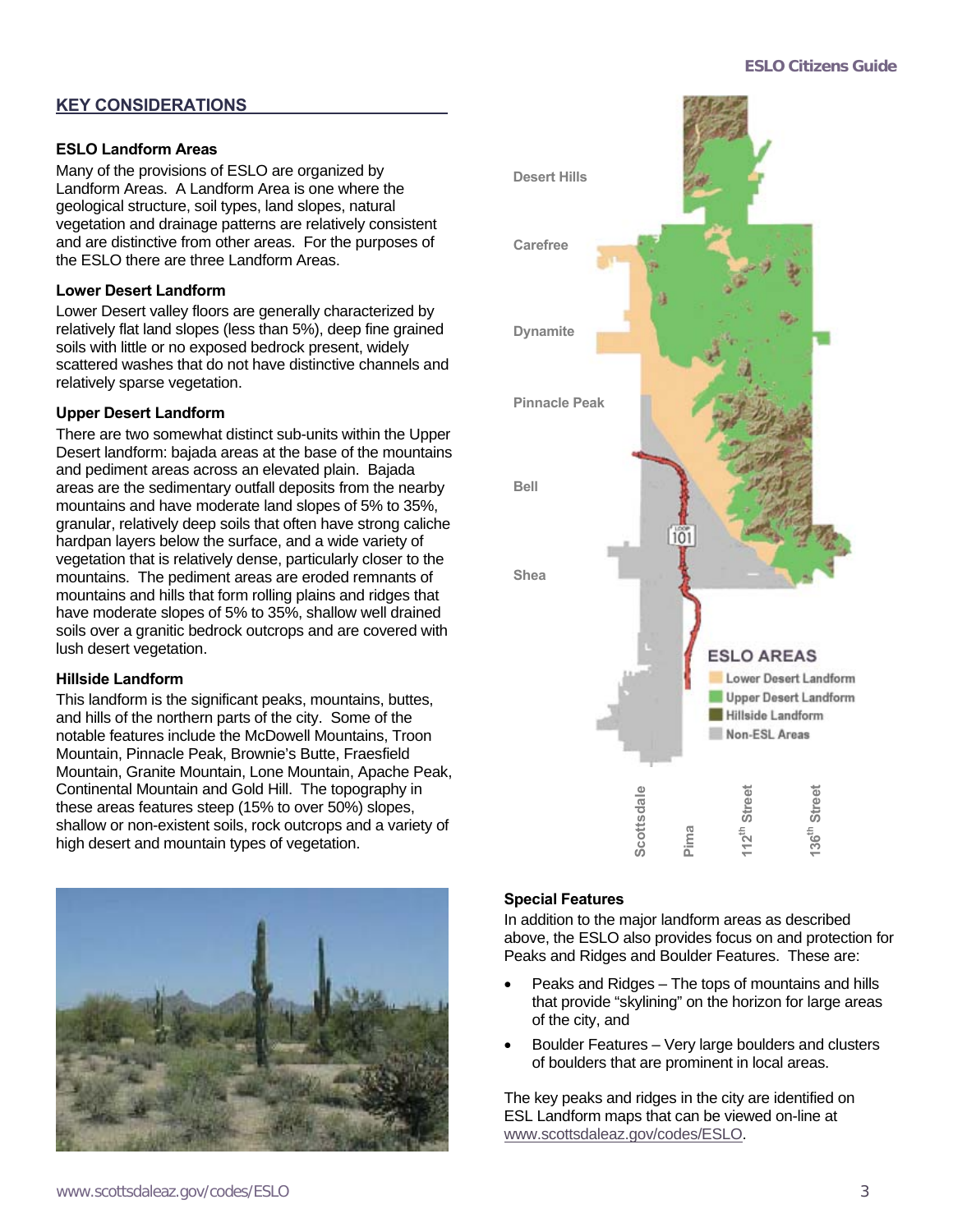## <span id="page-2-0"></span>**KEY CONSIDERATIONS**

#### **ESLO Landform Areas**

Many of the provisions of ESLO are organized by Landform Areas. A Landform Area is one where the geological structure, soil types, land slopes, natural vegetation and drainage patterns are relatively consistent and are distinctive from other areas. For the purposes of the ESLO there are three Landform Areas.

#### **Lower Desert Landform**

Lower Desert valley floors are generally characterized by relatively flat land slopes (less than 5%), deep fine grained soils with little or no exposed bedrock present, widely scattered washes that do not have distinctive channels and relatively sparse vegetation.

#### **Upper Desert Landform**

There are two somewhat distinct sub-units within the Upper Desert landform: bajada areas at the base of the mountains and pediment areas across an elevated plain. Bajada areas are the sedimentary outfall deposits from the nearby mountains and have moderate land slopes of 5% to 35%, granular, relatively deep soils that often have strong caliche hardpan layers below the surface, and a wide variety of vegetation that is relatively dense, particularly closer to the mountains. The pediment areas are eroded remnants of mountains and hills that form rolling plains and ridges that have moderate slopes of 5% to 35%, shallow well drained soils over a granitic bedrock outcrops and are covered with lush desert vegetation.

#### **Hillside Landform**

This landform is the significant peaks, mountains, buttes, and hills of the northern parts of the city. Some of the notable features include the McDowell Mountains, Troon Mountain, Pinnacle Peak, Brownie's Butte, Fraesfield Mountain, Granite Mountain, Lone Mountain, Apache Peak, Continental Mountain and Gold Hill. The topography in these areas features steep (15% to over 50%) slopes, shallow or non-existent soils, rock outcrops and a variety of high desert and mountain types of vegetation.





#### **Special Features**

In addition to the major landform areas as described above, the ESLO also provides focus on and protection for Peaks and Ridges and Boulder Features. These are:

- Peaks and Ridges The tops of mountains and hills that provide "skylining" on the horizon for large areas of the city, and
- Boulder Features Very large boulders and clusters of boulders that are prominent in local areas.

The key peaks and ridges in the city are identified on ESL Landform maps that can be viewed on-line at [www.scottsdaleaz.gov/codes/ESLO.](http://www.scottsdaleaz.gov/codes/ESLO/ESLOMaps.asp)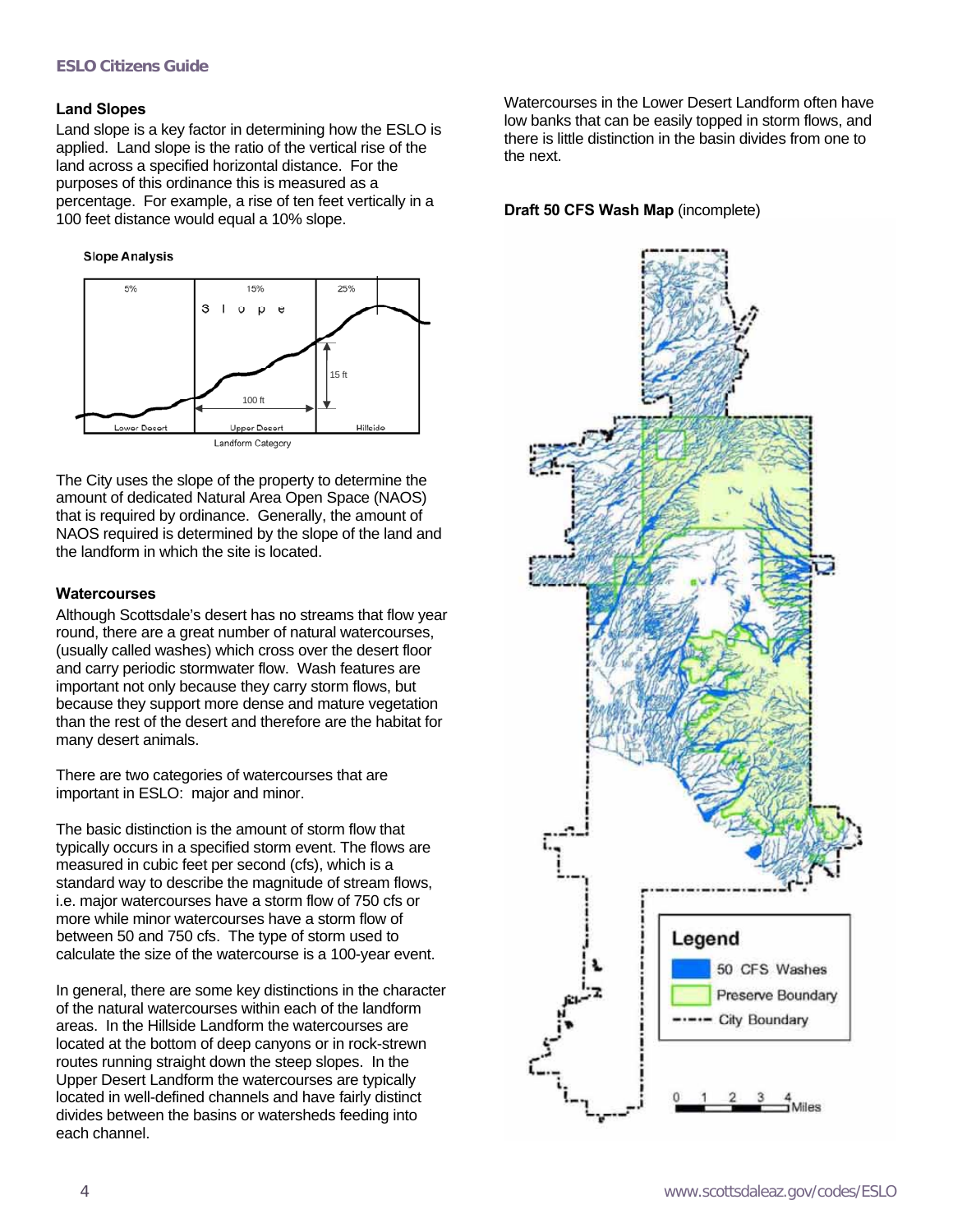#### **Land Slopes**

Land slope is a key factor in determining how the ESLO is applied. Land slope is the ratio of the vertical rise of the land across a specified horizontal distance. For the purposes of this ordinance this is measured as a percentage. For example, a rise of ten feet vertically in a 100 feet distance would equal a 10% slope.

#### **Slope Analysis**



The City uses the slope of the property to determine the amount of dedicated Natural Area Open Space (NAOS) that is required by ordinance. Generally, the amount of NAOS required is determined by the slope of the land and the landform in which the site is located.

#### **Watercourses**

Although Scottsdale's desert has no streams that flow year round, there are a great number of natural watercourses, (usually called washes) which cross over the desert floor and carry periodic stormwater flow. Wash features are important not only because they carry storm flows, but because they support more dense and mature vegetation than the rest of the desert and therefore are the habitat for many desert animals.

There are two categories of watercourses that are important in ESLO: major and minor.

The basic distinction is the amount of storm flow that typically occurs in a specified storm event. The flows are measured in cubic feet per second (cfs), which is a standard way to describe the magnitude of stream flows, i.e. major watercourses have a storm flow of 750 cfs or more while minor watercourses have a storm flow of between 50 and 750 cfs. The type of storm used to calculate the size of the watercourse is a 100-year event.

In general, there are some key distinctions in the character of the natural watercourses within each of the landform areas. In the Hillside Landform the watercourses are located at the bottom of deep canyons or in rock-strewn routes running straight down the steep slopes. In the Upper Desert Landform the watercourses are typically located in well-defined channels and have fairly distinct divides between the basins or watersheds feeding into each channel.

Watercourses in the Lower Desert Landform often have low banks that can be easily topped in storm flows, and there is little distinction in the basin divides from one to the next.

#### **Draft 50 CFS Wash Map** (incomplete)

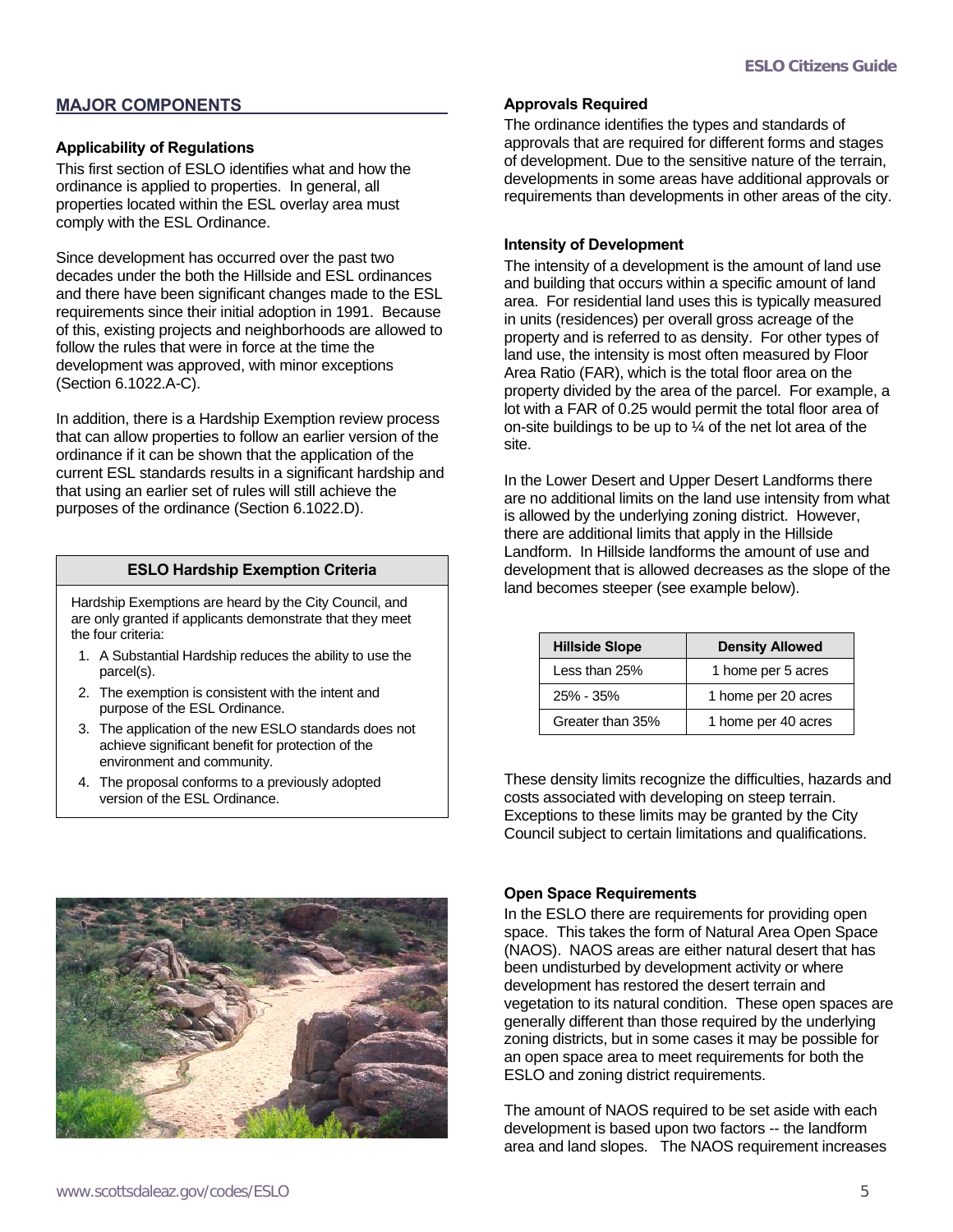#### <span id="page-4-0"></span>**MAJOR COMPONENTS**

#### **Applicability of Regulations**

This first section of ESLO identifies what and how the ordinance is applied to properties. In general, all properties located within the ESL overlay area must comply with the ESL Ordinance.

Since development has occurred over the past two decades under the both the Hillside and ESL ordinances and there have been significant changes made to the ESL requirements since their initial adoption in 1991. Because of this, existing projects and neighborhoods are allowed to follow the rules that were in force at the time the development was approved, with minor exceptions (Section 6.1022.A-C).

In addition, there is a Hardship Exemption review process that can allow properties to follow an earlier version of the ordinance if it can be shown that the application of the current ESL standards results in a significant hardship and that using an earlier set of rules will still achieve the purposes of the ordinance (Section 6.1022.D).

#### **ESLO Hardship Exemption Criteria**

Hardship Exemptions are heard by the City Council, and are only granted if applicants demonstrate that they meet the four criteria:

- 1. A Substantial Hardship reduces the ability to use the parcel(s).
- 2. The exemption is consistent with the intent and purpose of the ESL Ordinance.
- 3. The application of the new ESLO standards does not achieve significant benefit for protection of the environment and community.
- 4. The proposal conforms to a previously adopted version of the ESL Ordinance.



The ordinance identifies the types and standards of approvals that are required for different forms and stages of development. Due to the sensitive nature of the terrain, developments in some areas have additional approvals or requirements than developments in other areas of the city.

#### **Intensity of Development**

The intensity of a development is the amount of land use and building that occurs within a specific amount of land area. For residential land uses this is typically measured in units (residences) per overall gross acreage of the property and is referred to as density. For other types of land use, the intensity is most often measured by Floor Area Ratio (FAR), which is the total floor area on the property divided by the area of the parcel. For example, a lot with a FAR of 0.25 would permit the total floor area of on-site buildings to be up to ¼ of the net lot area of the site.

In the Lower Desert and Upper Desert Landforms there are no additional limits on the land use intensity from what is allowed by the underlying zoning district. However, there are additional limits that apply in the Hillside Landform. In Hillside landforms the amount of use and development that is allowed decreases as the slope of the land becomes steeper (see example below).

| <b>Hillside Slope</b> | <b>Density Allowed</b> |  |  |
|-----------------------|------------------------|--|--|
| Less than $25%$       | 1 home per 5 acres     |  |  |
| $25% - 35%$           | 1 home per 20 acres    |  |  |
| Greater than 35%      | 1 home per 40 acres    |  |  |

These density limits recognize the difficulties, hazards and costs associated with developing on steep terrain. Exceptions to these limits may be granted by the City Council subject to certain limitations and qualifications.



#### **Open Space Requirements**

In the ESLO there are requirements for providing open space. This takes the form of Natural Area Open Space (NAOS). NAOS areas are either natural desert that has been undisturbed by development activity or where development has restored the desert terrain and vegetation to its natural condition. These open spaces are generally different than those required by the underlying zoning districts, but in some cases it may be possible for an open space area to meet requirements for both the ESLO and zoning district requirements.

The amount of NAOS required to be set aside with each development is based upon two factors -- the landform area and land slopes. The NAOS requirement increases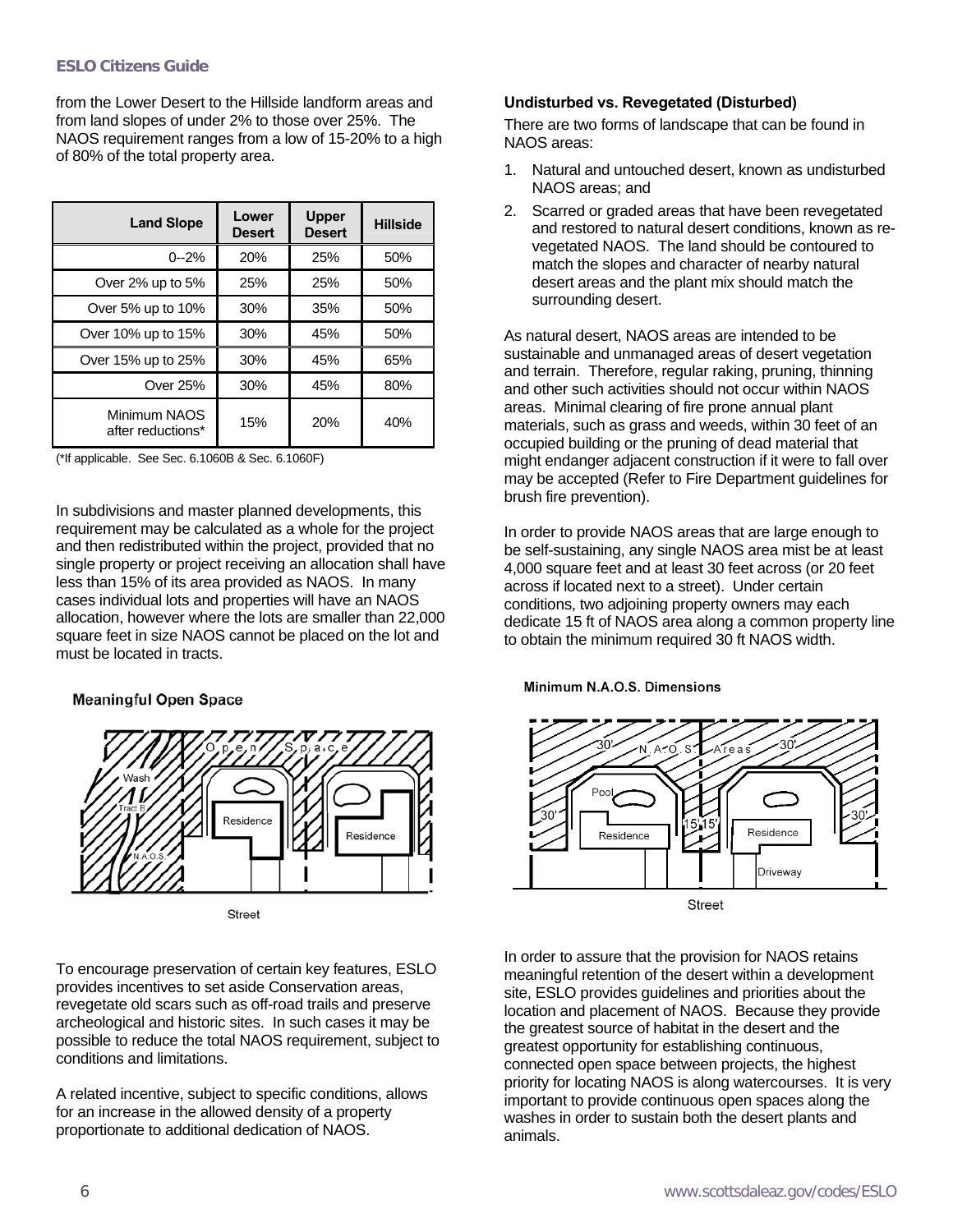#### **ESLO Citizens Guide**

from the Lower Desert to the Hillside landform areas and from land slopes of under 2% to those over 25%. The NAOS requirement ranges from a low of 15-20% to a high of 80% of the total property area.

| <b>Land Slope</b>                 | Lower<br><b>Desert</b> | <b>Upper</b><br><b>Desert</b> | <b>Hillside</b> |
|-----------------------------------|------------------------|-------------------------------|-----------------|
| $0 - 2%$                          | 20%                    | 25%                           | 50%             |
| Over 2% up to 5%                  | 25%                    | 25%                           | 50%             |
| Over 5% up to 10%                 | 30%                    | 35%                           | 50%             |
| Over 10% up to 15%                | 30%                    | 45%                           | 50%             |
| Over 15% up to 25%                | 30%                    | 45%                           | 65%             |
| Over 25%                          | 30%                    | 45%                           | 80%             |
| Minimum NAOS<br>after reductions* | 15%                    | 20%                           | 40%             |

(\*If applicable. See Sec. 6.1060B & Sec. 6.1060F)

In subdivisions and master planned developments, this requirement may be calculated as a whole for the project and then redistributed within the project, provided that no single property or project receiving an allocation shall have less than 15% of its area provided as NAOS. In many cases individual lots and properties will have an NAOS allocation, however where the lots are smaller than 22,000 square feet in size NAOS cannot be placed on the lot and must be located in tracts.

#### **Meaningful Open Space**



Street

To encourage preservation of certain key features, ESLO provides incentives to set aside Conservation areas, revegetate old scars such as off-road trails and preserve archeological and historic sites. In such cases it may be possible to reduce the total NAOS requirement, subject to conditions and limitations.

A related incentive, subject to specific conditions, allows for an increase in the allowed density of a property proportionate to additional dedication of NAOS.

#### **Undisturbed vs. Revegetated (Disturbed)**

There are two forms of landscape that can be found in NAOS areas:

- 1. Natural and untouched desert, known as undisturbed NAOS areas; and
- 2. Scarred or graded areas that have been revegetated and restored to natural desert conditions, known as revegetated NAOS. The land should be contoured to match the slopes and character of nearby natural desert areas and the plant mix should match the surrounding desert.

As natural desert, NAOS areas are intended to be sustainable and unmanaged areas of desert vegetation and terrain. Therefore, regular raking, pruning, thinning and other such activities should not occur within NAOS areas. Minimal clearing of fire prone annual plant materials, such as grass and weeds, within 30 feet of an occupied building or the pruning of dead material that might endanger adjacent construction if it were to fall over may be accepted (Refer to Fire Department guidelines for brush fire prevention).

In order to provide NAOS areas that are large enough to be self-sustaining, any single NAOS area mist be at least 4,000 square feet and at least 30 feet across (or 20 feet across if located next to a street). Under certain conditions, two adjoining property owners may each dedicate 15 ft of NAOS area along a common property line to obtain the minimum required 30 ft NAOS width.





**Street** 

In order to assure that the provision for NAOS retains meaningful retention of the desert within a development site, ESLO provides guidelines and priorities about the location and placement of NAOS. Because they provide the greatest source of habitat in the desert and the greatest opportunity for establishing continuous, connected open space between projects, the highest priority for locating NAOS is along watercourses. It is very important to provide continuous open spaces along the washes in order to sustain both the desert plants and animals.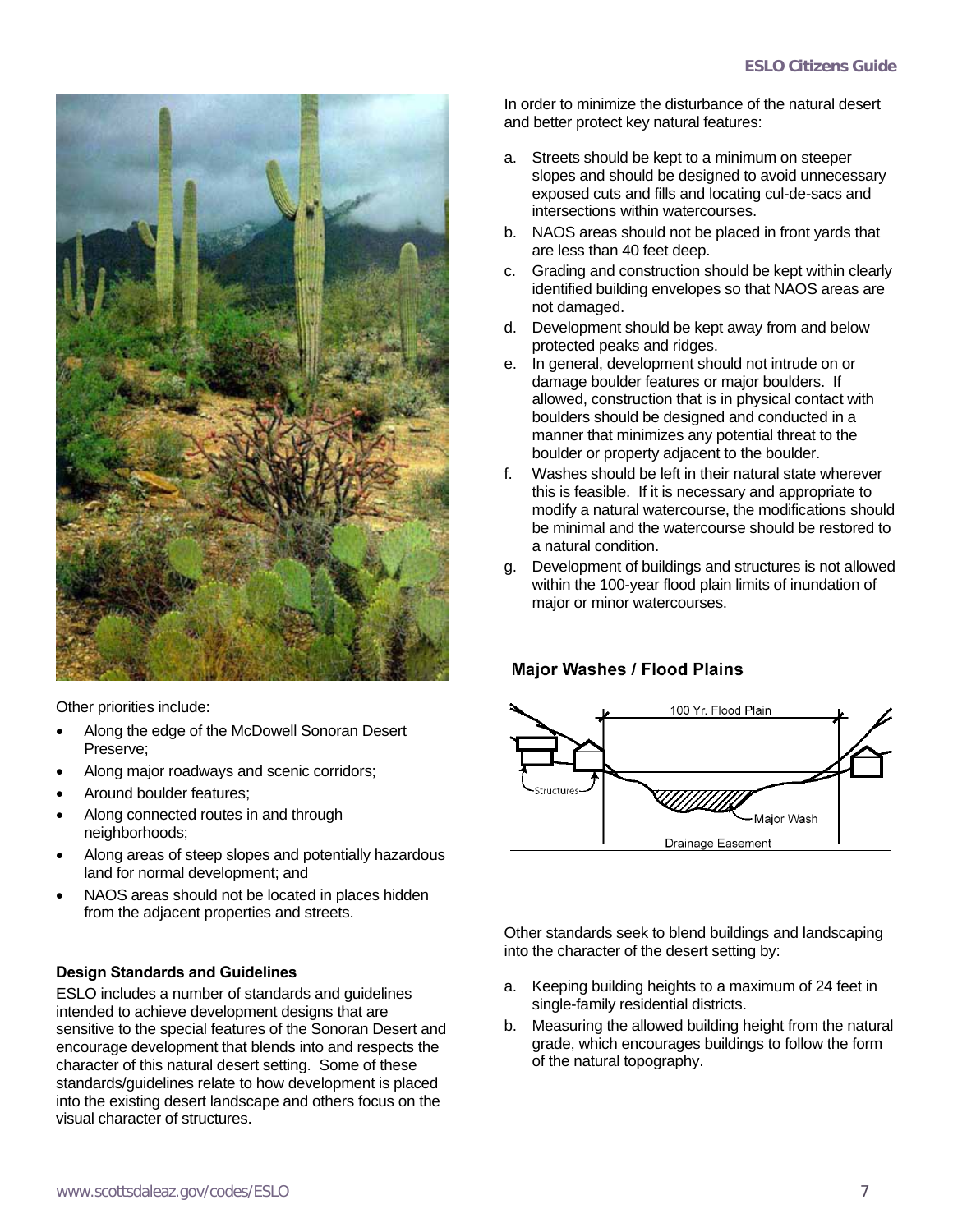

Other priorities include:

- Along the edge of the McDowell Sonoran Desert Preserve;
- Along major roadways and scenic corridors;
- Around boulder features;
- Along connected routes in and through neighborhoods:
- Along areas of steep slopes and potentially hazardous land for normal development; and
- NAOS areas should not be located in places hidden from the adjacent properties and streets.

#### **Design Standards and Guidelines**

ESLO includes a number of standards and guidelines intended to achieve development designs that are sensitive to the special features of the Sonoran Desert and encourage development that blends into and respects the character of this natural desert setting. Some of these standards/guidelines relate to how development is placed into the existing desert landscape and others focus on the visual character of structures.

In order to minimize the disturbance of the natural desert and better protect key natural features:

- a. Streets should be kept to a minimum on steeper slopes and should be designed to avoid unnecessary exposed cuts and fills and locating cul-de-sacs and intersections within watercourses.
- b. NAOS areas should not be placed in front yards that are less than 40 feet deep.
- c. Grading and construction should be kept within clearly identified building envelopes so that NAOS areas are not damaged.
- d. Development should be kept away from and below protected peaks and ridges.
- e. In general, development should not intrude on or damage boulder features or major boulders. If allowed, construction that is in physical contact with boulders should be designed and conducted in a manner that minimizes any potential threat to the boulder or property adjacent to the boulder.
- f. Washes should be left in their natural state wherever this is feasible. If it is necessary and appropriate to modify a natural watercourse, the modifications should be minimal and the watercourse should be restored to a natural condition.
- g. Development of buildings and structures is not allowed within the 100-year flood plain limits of inundation of major or minor watercourses.

## **Major Washes / Flood Plains**



Other standards seek to blend buildings and landscaping into the character of the desert setting by:

- a. Keeping building heights to a maximum of 24 feet in single-family residential districts.
- b. Measuring the allowed building height from the natural grade, which encourages buildings to follow the form of the natural topography.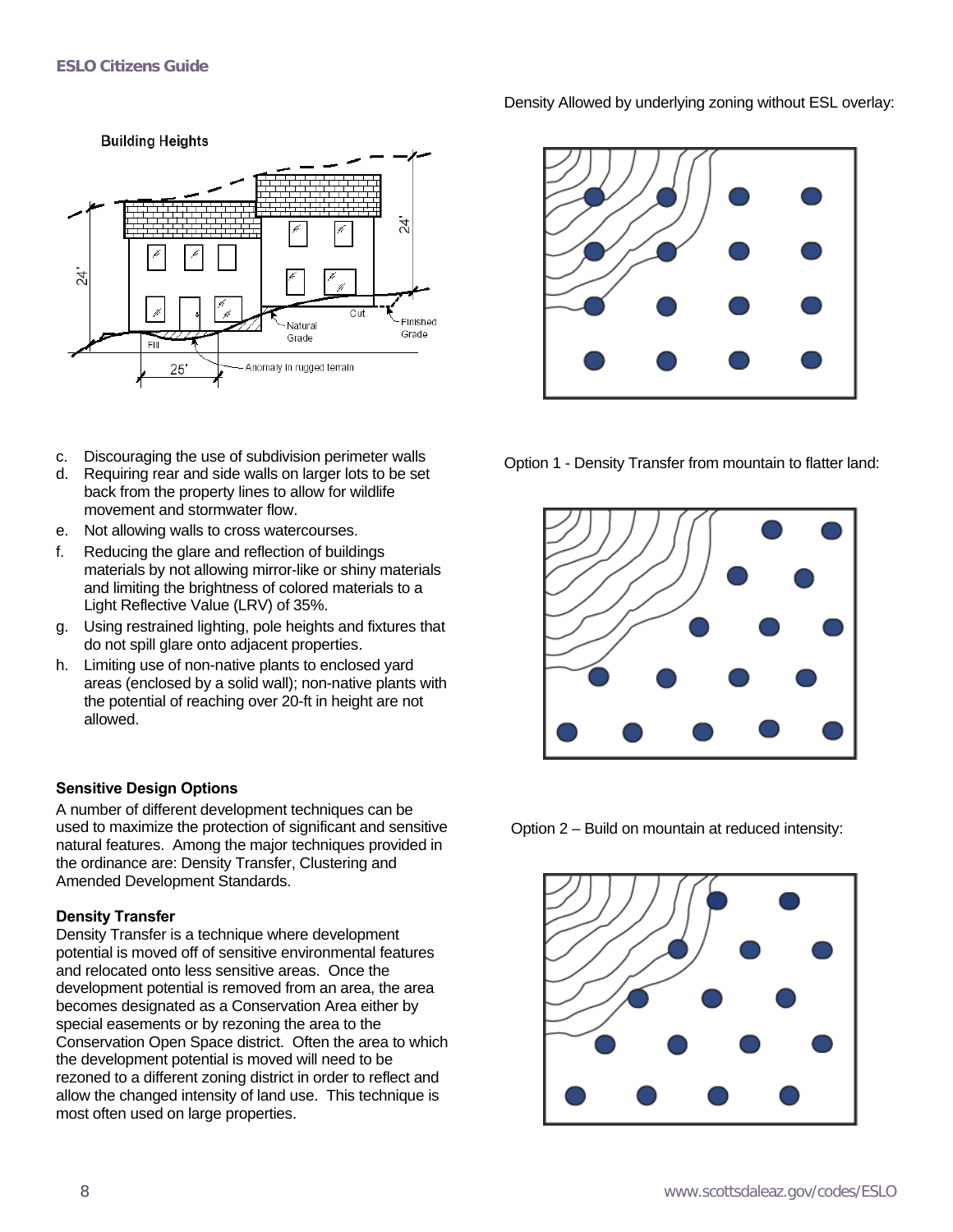

- c. Discouraging the use of subdivision perimeter walls
- d. Requiring rear and side walls on larger lots to be set back from the property lines to allow for wildlife movement and stormwater flow.
- e. Not allowing walls to cross watercourses.
- f. Reducing the glare and reflection of buildings materials by not allowing mirror-like or shiny materials and limiting the brightness of colored materials to a Light Reflective Value (LRV) of 35%.
- g. Using restrained lighting, pole heights and fixtures that do not spill glare onto adjacent properties.
- h. Limiting use of non-native plants to enclosed yard areas (enclosed by a solid wall); non-native plants with the potential of reaching over 20-ft in height are not allowed.

## **Sensitive Design Options**

A number of different development techniques can be used to maximize the protection of significant and sensitive natural features. Among the major techniques provided in the ordinance are: Density Transfer, Clustering and Amended Development Standards.

#### **Density Transfer**

Density Transfer is a technique where development potential is moved off of sensitive environmental features and relocated onto less sensitive areas. Once the development potential is removed from an area, the area becomes designated as a Conservation Area either by special easements or by rezoning the area to the Conservation Open Space district. Often the area to which the development potential is moved will need to be rezoned to a different zoning district in order to reflect and allow the changed intensity of land use. This technique is most often used on large properties.

Density Allowed by underlying zoning without ESL overlay:



Option 1 - Density Transfer from mountain to flatter land:



Option 2 – Build on mountain at reduced intensity:

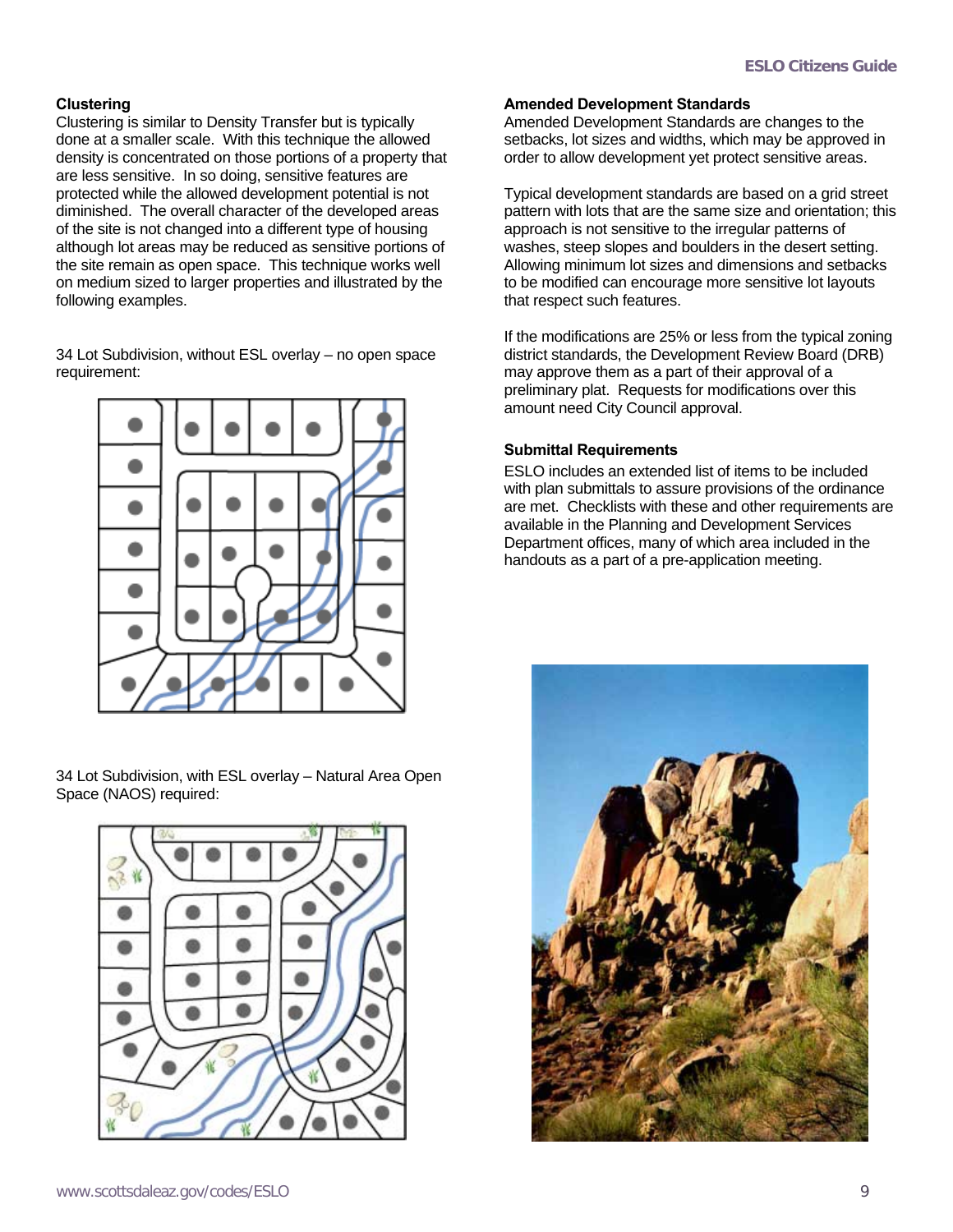#### **Clustering**

Clustering is similar to Density Transfer but is typically done at a smaller scale. With this technique the allowed density is concentrated on those portions of a property that are less sensitive. In so doing, sensitive features are protected while the allowed development potential is not diminished. The overall character of the developed areas of the site is not changed into a different type of housing although lot areas may be reduced as sensitive portions of the site remain as open space. This technique works well on medium sized to larger properties and illustrated by the following examples.

34 Lot Subdivision, without ESL overlay – no open space requirement:



34 Lot Subdivision, with ESL overlay – Natural Area Open Space (NAOS) required:



#### **Amended Development Standards**

Amended Development Standards are changes to the setbacks, lot sizes and widths, which may be approved in order to allow development yet protect sensitive areas.

Typical development standards are based on a grid street pattern with lots that are the same size and orientation; this approach is not sensitive to the irregular patterns of washes, steep slopes and boulders in the desert setting. Allowing minimum lot sizes and dimensions and setbacks to be modified can encourage more sensitive lot layouts that respect such features.

If the modifications are 25% or less from the typical zoning district standards, the Development Review Board (DRB) may approve them as a part of their approval of a preliminary plat. Requests for modifications over this amount need City Council approval.

#### **Submittal Requirements**

ESLO includes an extended list of items to be included with plan submittals to assure provisions of the ordinance are met. Checklists with these and other requirements are available in the Planning and Development Services Department offices, many of which area included in the handouts as a part of a pre-application meeting.

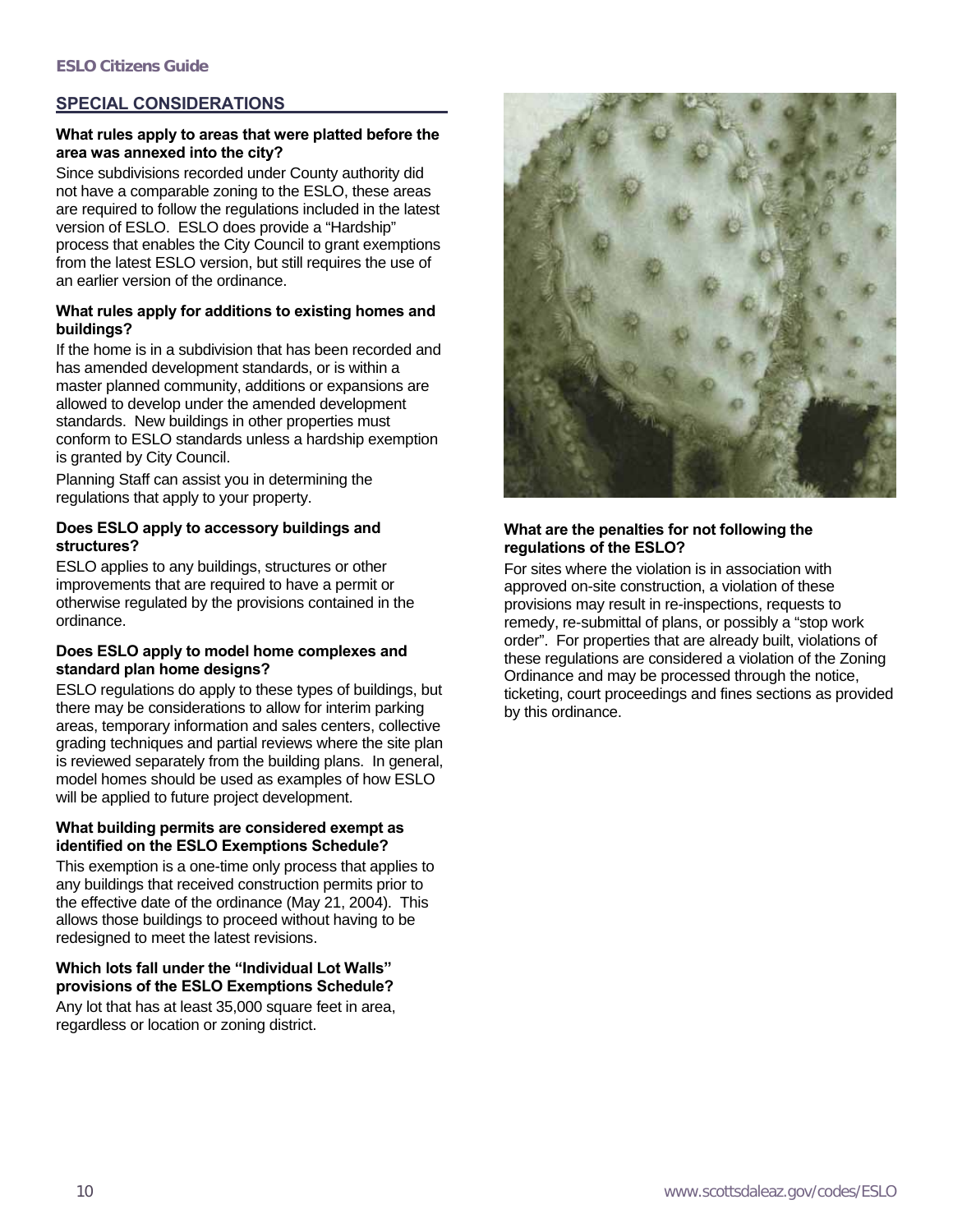#### <span id="page-9-0"></span>**SPECIAL CONSIDERATIONS**

#### **What rules apply to areas that were platted before the area was annexed into the city?**

Since subdivisions recorded under County authority did not have a comparable zoning to the ESLO, these areas are required to follow the regulations included in the latest version of ESLO. ESLO does provide a "Hardship" process that enables the City Council to grant exemptions from the latest ESLO version, but still requires the use of an earlier version of the ordinance.

#### **What rules apply for additions to existing homes and buildings?**

If the home is in a subdivision that has been recorded and has amended development standards, or is within a master planned community, additions or expansions are allowed to develop under the amended development standards. New buildings in other properties must conform to ESLO standards unless a hardship exemption is granted by City Council.

Planning Staff can assist you in determining the regulations that apply to your property.

#### **Does ESLO apply to accessory buildings and structures?**

ESLO applies to any buildings, structures or other improvements that are required to have a permit or otherwise regulated by the provisions contained in the ordinance.

#### **Does ESLO apply to model home complexes and standard plan home designs?**

ESLO regulations do apply to these types of buildings, but there may be considerations to allow for interim parking areas, temporary information and sales centers, collective grading techniques and partial reviews where the site plan is reviewed separately from the building plans. In general, model homes should be used as examples of how ESLO will be applied to future project development.

#### **What building permits are considered exempt as identified on the ESLO Exemptions Schedule?**

This exemption is a one-time only process that applies to any buildings that received construction permits prior to the effective date of the ordinance (May 21, 2004). This allows those buildings to proceed without having to be redesigned to meet the latest revisions.

#### **Which lots fall under the "Individual Lot Walls" provisions of the ESLO Exemptions Schedule?**

Any lot that has at least 35,000 square feet in area, regardless or location or zoning district.



#### **What are the penalties for not following the regulations of the ESLO?**

For sites where the violation is in association with approved on-site construction, a violation of these provisions may result in re-inspections, requests to remedy, re-submittal of plans, or possibly a "stop work order". For properties that are already built, violations of these regulations are considered a violation of the Zoning Ordinance and may be processed through the notice, ticketing, court proceedings and fines sections as provided by this ordinance.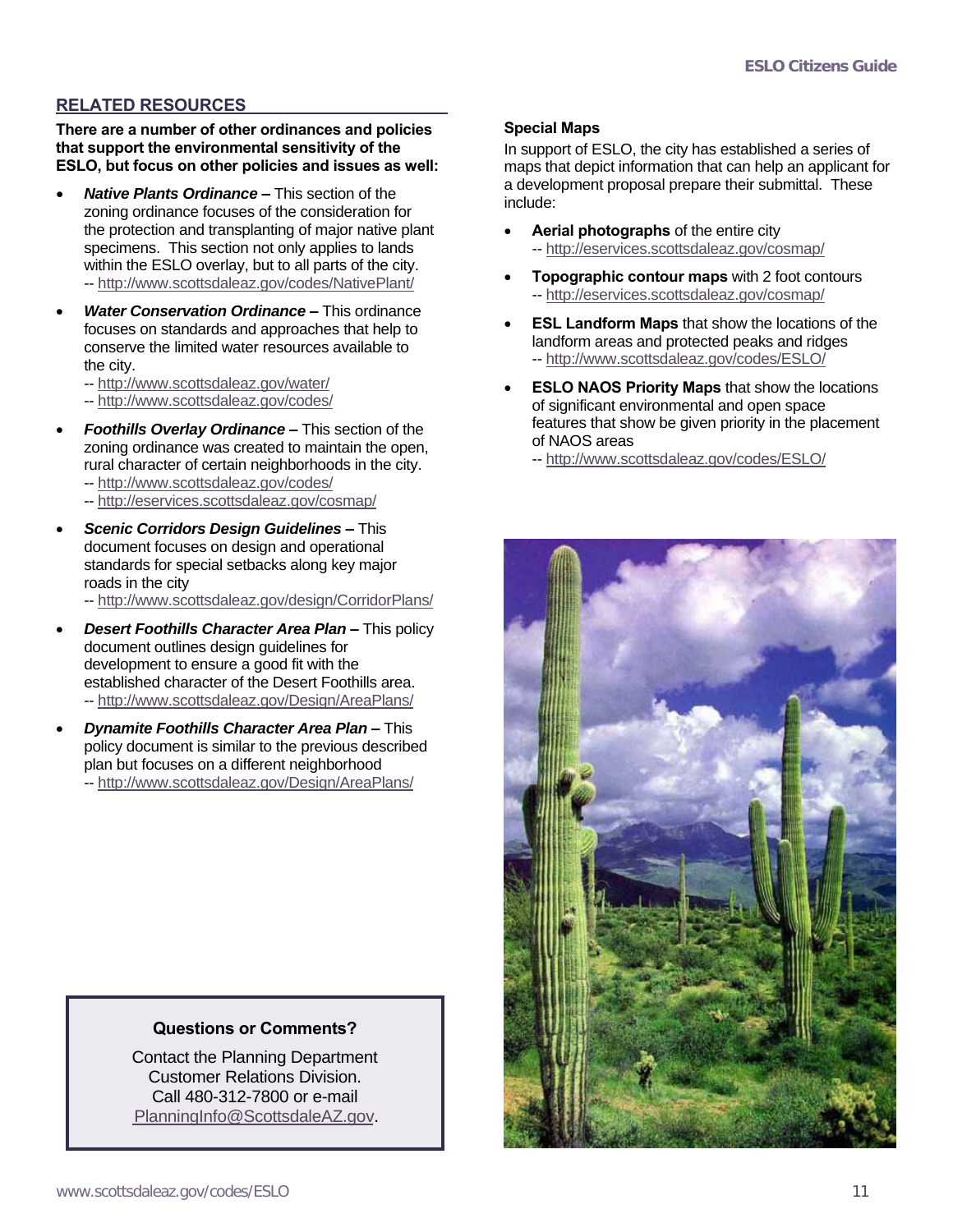### <span id="page-10-0"></span>**RELATED RESOURCES**

**There are a number of other ordinances and policies that support the environmental sensitivity of the ESLO, but focus on other policies and issues as well:** 

- *Native Plants Ordinance* **–** This section of the zoning ordinance focuses of the consideration for the protection and transplanting of major native plant specimens. This section not only applies to lands within the ESLO overlay, but to all parts of the city. [-- http://www.scottsdaleaz.gov/codes/NativePlant/](http://www.scottsdaleaz.gov/codes/NativePlant/)
- *Water Conservation Ordinance* This ordinance focuses on standards and approaches that help to conserve the limited water resources available to the city.
	- [-- http://www.scottsdaleaz.gov/water/](http://www.scottsdaleaz.gov/water)
	- [-- http://www.scottsdaleaz.gov/codes/](http://www.scottsdaleaz.gov/codes/)
- *Foothills Overlay Ordinance* **–** This section of the zoning ordinance was created to maintain the open, rural character of certain neighborhoods in the city.
	- [-- http://www.scottsdaleaz.gov/codes/](http://www.scottsdaleaz.gov/codes/)
	- [-- http://eservices.scottsdaleaz.gov/cosmap/](http://eservices.scottsdaleaz.gov/cosmap/)
- *Scenic Corridors Design Guidelines* This document focuses on design and operational standards for special setbacks along key major roads in the city
	- --<http://www.scottsdaleaz.gov/design/CorridorPlans/>
- *Desert Foothills Character Area Plan*This policy document outlines design guidelines for development to ensure a good fit with the established character of the Desert Foothills area. --<http://www.scottsdaleaz.gov/Design/AreaPlans/>
- *Dynamite Foothills Character Area Plan* **–** This policy document is similar to the previous described plan but focuses on a different neighborhood
	- --<http://www.scottsdaleaz.gov/Design/AreaPlans/>

## **Questions or Comments?**

Contact the Planning Department Customer Relations Division. Call 480-312-7800 or e-mail [PlanningInfo@ScottsdaleAZ.gov.](mailto:planninginfo@scottsdaleaz.gov)

#### **Special Maps**

In support of ESLO, the city has established a series of maps that depict information that can help an applicant for a development proposal prepare their submittal. These include:

- **Aerial photographs** of the entire city [-- http://eservices.scottsdaleaz.gov/cosmap/](http://eservices.scottsdaleaz.gov/cosmap/)
- **Topographic contour maps** with 2 foot contours [-- http://eservices.scottsdaleaz.gov/cosmap/](http://eservices.scottsdaleaz.gov/cosmap/)
- **ESL Landform Maps** that show the locations of the landform areas and protected peaks and ridges [-- http://www.scottsdaleaz.gov/codes/ESLO/](http://www.scottsdaleaz.gov/codes/ESLO/)
- **ESLO NAOS Priority Maps** that show the locations of significant environmental and open space features that show be given priority in the placement of NAOS areas
	- [-- http://www.scottsdaleaz.gov/codes/ESLO/](http://www.scottsdaleaz.gov/codes/ESLO/)